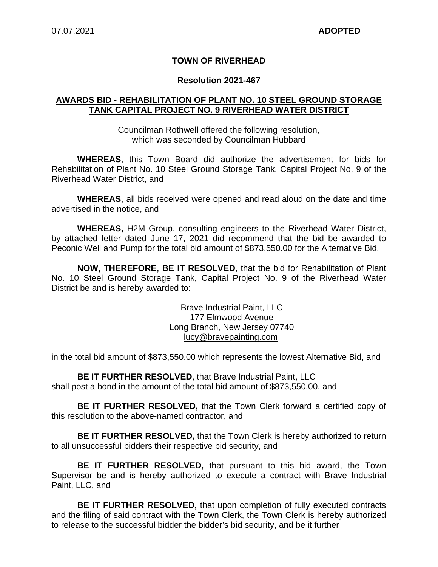### **TOWN OF RIVERHEAD**

#### **Resolution 2021-467**

#### **AWARDS BID - REHABILITATION OF PLANT NO. 10 STEEL GROUND STORAGE TANK CAPITAL PROJECT NO. 9 RIVERHEAD WATER DISTRICT**

Councilman Rothwell offered the following resolution, which was seconded by Councilman Hubbard

**WHEREAS**, this Town Board did authorize the advertisement for bids for Rehabilitation of Plant No. 10 Steel Ground Storage Tank, Capital Project No. 9 of the Riverhead Water District, and

**WHEREAS**, all bids received were opened and read aloud on the date and time advertised in the notice, and

**WHEREAS,** H2M Group, consulting engineers to the Riverhead Water District, by attached letter dated June 17, 2021 did recommend that the bid be awarded to Peconic Well and Pump for the total bid amount of \$873,550.00 for the Alternative Bid.

**NOW, THEREFORE, BE IT RESOLVED**, that the bid for Rehabilitation of Plant No. 10 Steel Ground Storage Tank, Capital Project No. 9 of the Riverhead Water District be and is hereby awarded to:

> Brave Industrial Paint, LLC 177 Elmwood Avenue Long Branch, New Jersey 07740 lucy@bravepainting.com

in the total bid amount of \$873,550.00 which represents the lowest Alternative Bid, and

**BE IT FURTHER RESOLVED**, that Brave Industrial Paint, LLC shall post a bond in the amount of the total bid amount of \$873,550.00, and

**BE IT FURTHER RESOLVED,** that the Town Clerk forward a certified copy of this resolution to the above-named contractor, and

**BE IT FURTHER RESOLVED,** that the Town Clerk is hereby authorized to return to all unsuccessful bidders their respective bid security, and

**BE IT FURTHER RESOLVED,** that pursuant to this bid award, the Town Supervisor be and is hereby authorized to execute a contract with Brave Industrial Paint, LLC, and

**BE IT FURTHER RESOLVED,** that upon completion of fully executed contracts and the filing of said contract with the Town Clerk, the Town Clerk is hereby authorized to release to the successful bidder the bidder's bid security, and be it further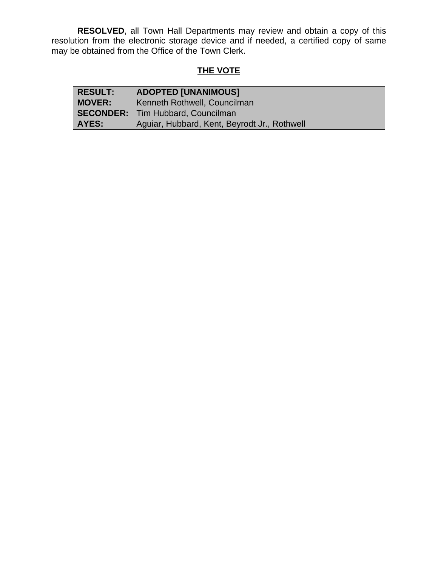**RESOLVED**, all Town Hall Departments may review and obtain a copy of this resolution from the electronic storage device and if needed, a certified copy of same may be obtained from the Office of the Town Clerk.

## **THE VOTE**

| <b>RESULT:</b> | <b>ADOPTED [UNANIMOUS]</b>                   |
|----------------|----------------------------------------------|
| <b>MOVER:</b>  | Kenneth Rothwell, Councilman                 |
|                | <b>SECONDER:</b> Tim Hubbard, Councilman     |
| AYES:          | Aguiar, Hubbard, Kent, Beyrodt Jr., Rothwell |